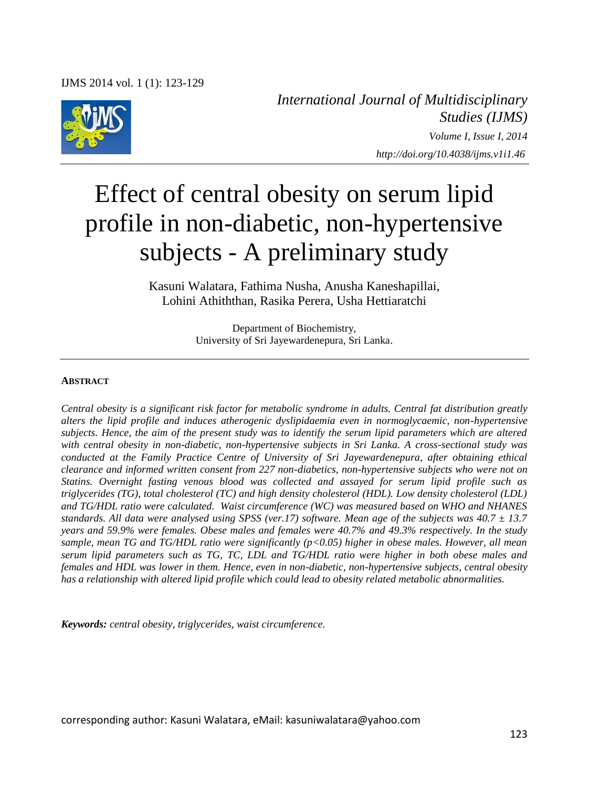

*International Journal of Multidisciplinary Studies (IJMS) Volume I, Issue I, 2014 http://doi.org/10.4038/ijms.v1i1.46*

# Effect of central obesity on serum lipid profile in non-diabetic, non-hypertensive subjects - A preliminary study

Kasuni Walatara, Fathima Nusha, Anusha Kaneshapillai, Lohini Athiththan, Rasika Perera, Usha Hettiaratchi

> Department of Biochemistry, University of Sri Jayewardenepura, Sri Lanka.

#### **ABSTRACT**

*Central obesity is a significant risk factor for metabolic syndrome in adults. Central fat distribution greatly alters the lipid profile and induces atherogenic dyslipidaemia even in normoglycaemic, non-hypertensive subjects. Hence, the aim of the present study was to identify the serum lipid parameters which are altered with central obesity in non-diabetic, non-hypertensive subjects in Sri Lanka. A cross-sectional study was conducted at the Family Practice Centre of University of Sri Jayewardenepura, after obtaining ethical clearance and informed written consent from 227 non-diabetics, non-hypertensive subjects who were not on Statins. Overnight fasting venous blood was collected and assayed for serum lipid profile such as triglycerides (TG), total cholesterol (TC) and high density cholesterol (HDL). Low density cholesterol (LDL) and TG/HDL ratio were calculated. Waist circumference (WC) was measured based on WHO and NHANES standards. All data were analysed using SPSS (ver.17) software. Mean age of the subjects was 40.7 ± 13.7 years and 59.9% were females. Obese males and females were 40.7% and 49.3% respectively. In the study sample, mean TG and TG/HDL ratio were significantly (p<0.05) higher in obese males. However, all mean serum lipid parameters such as TG, TC, LDL and TG/HDL ratio were higher in both obese males and females and HDL was lower in them. Hence, even in non-diabetic, non-hypertensive subjects, central obesity has a relationship with altered lipid profile which could lead to obesity related metabolic abnormalities.* 

*Keywords: central obesity, triglycerides, waist circumference.* 

corresponding author: Kasuni Walatara, eMail: kasuniwalatara@yahoo.com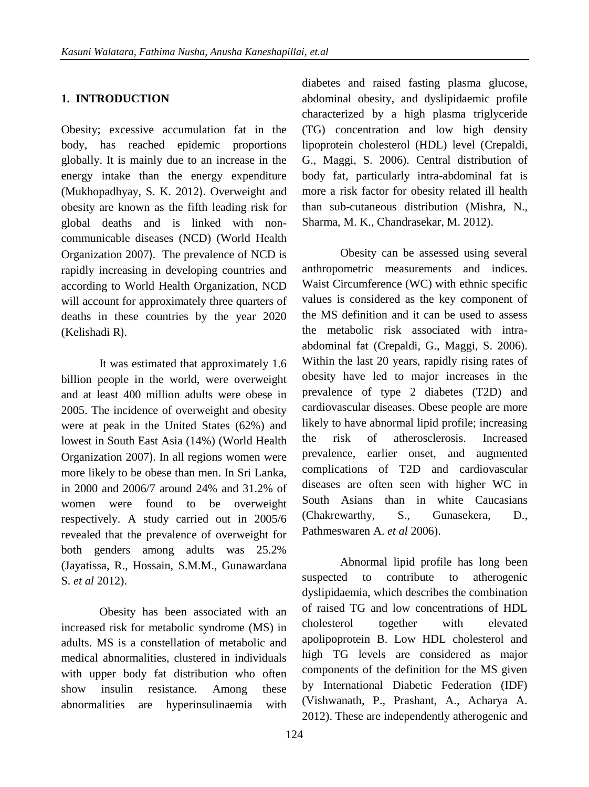## **1. INTRODUCTION**

Obesity; excessive accumulation fat in the body, has reached epidemic proportions globally. It is mainly due to an increase in the energy intake than the energy expenditure (Mukhopadhyay, S. K. 2012). Overweight and obesity are known as the fifth leading risk for global deaths and is linked with noncommunicable diseases (NCD) (World Health Organization 2007). The prevalence of NCD is rapidly increasing in developing countries and according to World Health Organization, NCD will account for approximately three quarters of deaths in these countries by the year 2020 (Kelishadi R).

It was estimated that approximately 1.6 billion people in the world, were overweight and at least 400 million adults were obese in 2005. The incidence of overweight and obesity were at peak in the United States (62%) and lowest in South East Asia (14%) (World Health Organization 2007). In all regions women were more likely to be obese than men. In Sri Lanka, in 2000 and 2006/7 around 24% and 31.2% of women were found to be overweight respectively. A study carried out in 2005/6 revealed that the prevalence of overweight for both genders among adults was 25.2% (Jayatissa, R., Hossain, S.M.M., Gunawardana S. *et al* 2012).

Obesity has been associated with an increased risk for metabolic syndrome (MS) in adults. MS is a constellation of metabolic and medical abnormalities, clustered in individuals with upper body fat distribution who often show insulin resistance. Among these abnormalities are hyperinsulinaemia with

124

diabetes and raised fasting plasma glucose, abdominal obesity, and dyslipidaemic profile characterized by a high plasma triglyceride (TG) concentration and low high density lipoprotein cholesterol (HDL) level (Crepaldi, G., Maggi, S. 2006). Central distribution of body fat, particularly intra-abdominal fat is more a risk factor for obesity related ill health than sub-cutaneous distribution (Mishra, N., Sharma, M. K., Chandrasekar, M. 2012).

Obesity can be assessed using several anthropometric measurements and indices. Waist Circumference (WC) with ethnic specific values is considered as the key component of the MS definition and it can be used to assess the metabolic risk associated with intraabdominal fat (Crepaldi, G., Maggi, S. 2006). Within the last 20 years, rapidly rising rates of obesity have led to major increases in the prevalence of type 2 diabetes (T2D) and cardiovascular diseases. Obese people are more likely to have abnormal lipid profile; increasing the risk of atherosclerosis. Increased prevalence, earlier onset, and augmented complications of T2D and cardiovascular diseases are often seen with higher WC in South Asians than in white Caucasians (Chakrewarthy, S., Gunasekera, D., Pathmeswaren A. *et al* 2006).

Abnormal lipid profile has long been suspected to contribute to atherogenic dyslipidaemia, which describes the combination of raised TG and low concentrations of HDL cholesterol together with elevated apolipoprotein B. Low HDL cholesterol and high TG levels are considered as major components of the definition for the MS given by International Diabetic Federation (IDF) (Vishwanath, P., Prashant, A., Acharya A. 2012). These are independently atherogenic and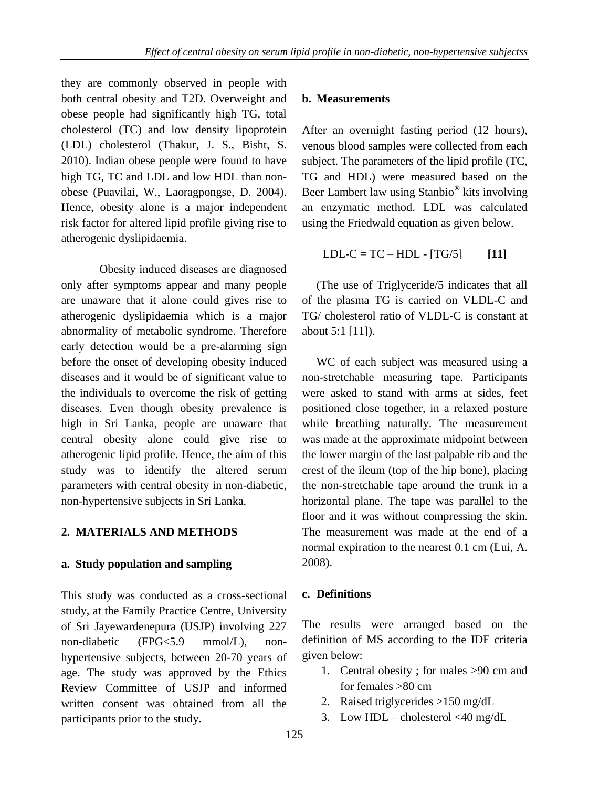they are commonly observed in people with both central obesity and T2D. Overweight and obese people had significantly high TG, total cholesterol (TC) and low density lipoprotein (LDL) cholesterol (Thakur, J. S., Bisht, S. 2010). Indian obese people were found to have high TG, TC and LDL and low HDL than nonobese (Puavilai, W., Laoragpongse, D. 2004). Hence, obesity alone is a major independent risk factor for altered lipid profile giving rise to atherogenic dyslipidaemia.

Obesity induced diseases are diagnosed only after symptoms appear and many people are unaware that it alone could gives rise to atherogenic dyslipidaemia which is a major abnormality of metabolic syndrome. Therefore early detection would be a pre-alarming sign before the onset of developing obesity induced diseases and it would be of significant value to the individuals to overcome the risk of getting diseases. Even though obesity prevalence is high in Sri Lanka, people are unaware that central obesity alone could give rise to atherogenic lipid profile. Hence, the aim of this study was to identify the altered serum parameters with central obesity in non-diabetic, non-hypertensive subjects in Sri Lanka.

## **2. MATERIALS AND METHODS**

## **a. Study population and sampling**

This study was conducted as a cross-sectional study, at the Family Practice Centre, University of Sri Jayewardenepura (USJP) involving 227 non-diabetic (FPG<5.9 mmol/L), nonhypertensive subjects, between 20-70 years of age. The study was approved by the Ethics Review Committee of USJP and informed written consent was obtained from all the participants prior to the study.

#### **b. Measurements**

After an overnight fasting period (12 hours), venous blood samples were collected from each subject. The parameters of the lipid profile (TC, TG and HDL) were measured based on the Beer Lambert law using Stanbio® kits involving an enzymatic method. LDL was calculated using the Friedwald equation as given below.

$$
LDL-C = TC - HDL - [TG/5]
$$
 [11]

(The use of Triglyceride/5 indicates that all of the plasma TG is carried on VLDL-C and TG/ cholesterol ratio of VLDL-C is constant at about 5:1 [11]).

WC of each subject was measured using a non-stretchable measuring tape. Participants were asked to stand with arms at sides, feet positioned close together, in a relaxed posture while breathing naturally. The measurement was made at the approximate midpoint between the lower margin of the last palpable rib and the crest of the ileum (top of the hip bone), placing the non-stretchable tape around the trunk in a horizontal plane. The tape was parallel to the floor and it was without compressing the skin. The measurement was made at the end of a normal expiration to the nearest 0.1 cm (Lui, A. 2008).

## **c. Definitions**

The results were arranged based on the definition of MS according to the IDF criteria given below:

- 1. Central obesity ; for males >90 cm and for females >80 cm
- 2. Raised triglycerides >150 mg/dL
- 3. Low HDL cholesterol <40 mg/dL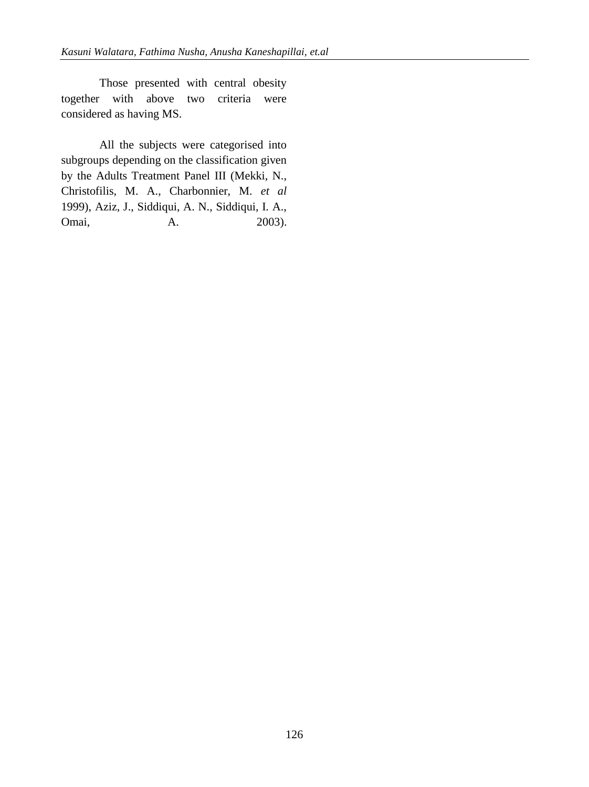Those presented with central obesity together with above two criteria were considered as having MS.

All the subjects were categorised into subgroups depending on the classification given by the Adults Treatment Panel III (Mekki, N., Christofilis, M. A., Charbonnier, M. *et al* 1999), Aziz, J., Siddiqui, A. N., Siddiqui, I. A., Omai, A. 2003).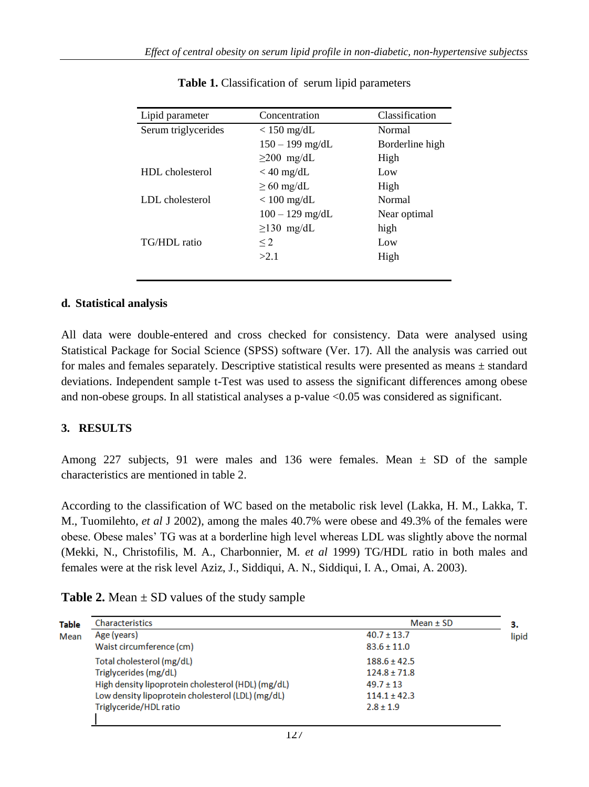| Lipid parameter     | Concentration                        | Classification |  |
|---------------------|--------------------------------------|----------------|--|
| Serum triglycerides | $<$ 150 mg/dL                        | Normal         |  |
|                     | $150 - 199$ mg/dL<br>Borderline high |                |  |
|                     | $\geq$ 200 mg/dL                     | High           |  |
| HDL cholesterol     | $<$ 40 mg/dL                         | Low            |  |
|                     | $\geq 60$ mg/dL                      | High           |  |
| LDL cholesterol     | $< 100$ mg/dL                        | <b>Normal</b>  |  |
|                     | $100 - 129$ mg/dL                    | Near optimal   |  |
|                     | $\geq$ 130 mg/dL                     | high           |  |
| TG/HDL ratio        | $\leq$ 2                             | Low            |  |
|                     | >2.1                                 | High           |  |
|                     |                                      |                |  |

**Table 1.** Classification of serum lipid parameters

## **d. Statistical analysis**

All data were double-entered and cross checked for consistency. Data were analysed using Statistical Package for Social Science (SPSS) software (Ver. 17). All the analysis was carried out for males and females separately. Descriptive statistical results were presented as means ± standard deviations. Independent sample t-Test was used to assess the significant differences among obese and non-obese groups. In all statistical analyses a p-value <0.05 was considered as significant.

# **3. RESULTS**

Among 227 subjects, 91 were males and 136 were females. Mean  $\pm$  SD of the sample characteristics are mentioned in table 2.

According to the classification of WC based on the metabolic risk level (Lakka, H. M., Lakka, T. M., Tuomilehto, *et al* J 2002), among the males 40.7% were obese and 49.3% of the females were obese. Obese males' TG was at a borderline high level whereas LDL was slightly above the normal (Mekki, N., Christofilis, M. A., Charbonnier, M. *et al* 1999) TG/HDL ratio in both males and females were at the risk level Aziz, J., Siddiqui, A. N., Siddiqui, I. A., Omai, A. 2003).

**Table 2.** Mean  $\pm$  SD values of the study sample

| <b>Table</b> | Characteristics                                    | Mean $\pm$ SD    | -3.   |
|--------------|----------------------------------------------------|------------------|-------|
| Mean         | Age (years)                                        | $40.7 \pm 13.7$  | lipid |
|              | Waist circumference (cm)                           | $83.6 \pm 11.0$  |       |
|              | Total cholesterol (mg/dL)                          | $188.6 \pm 42.5$ |       |
|              | Triglycerides (mg/dL)                              | $124.8 \pm 71.8$ |       |
|              | High density lipoprotein cholesterol (HDL) (mg/dL) | $49.7 \pm 13$    |       |
|              | Low density lipoprotein cholesterol (LDL) (mg/dL)  | $114.1 \pm 42.3$ |       |
|              | Triglyceride/HDL ratio                             | $2.8 \pm 1.9$    |       |
|              |                                                    |                  |       |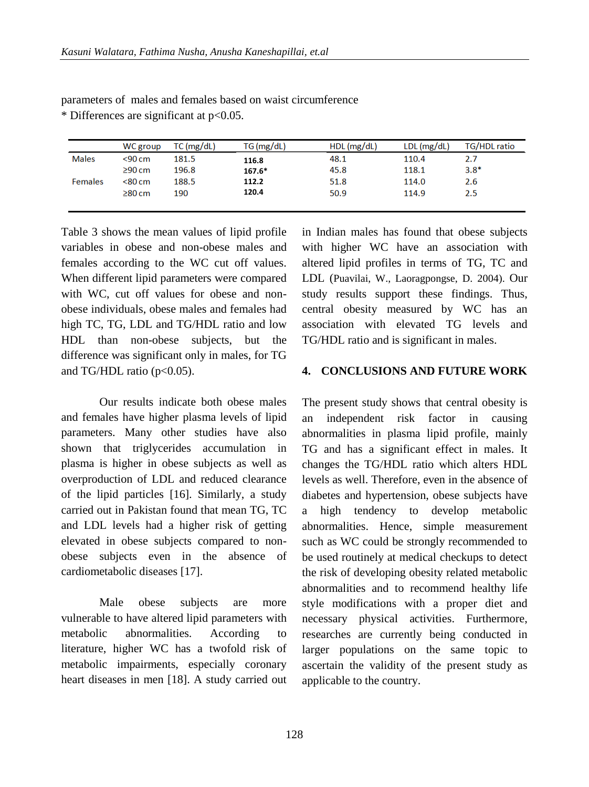|                | WC group     | $TC$ (mg/dL) | TG(mg/dL) | HDL(mg/dL) | $LDL$ (mg/dL) | <b>TG/HDL ratio</b> |
|----------------|--------------|--------------|-----------|------------|---------------|---------------------|
| <b>Males</b>   | $<$ 90 $cm$  | 181.5        | 116.8     | 48.1       | 110.4         | 2.7                 |
|                | $\geq$ 90 cm | 196.8        | 167.6*    | 45.8       | 118.1         | $3.8*$              |
| <b>Females</b> | $<$ 80 cm    | 188.5        | 112.2     | 51.8       | 114.0         | 2.6                 |
|                | $\geq$ 80 cm | 190          | 120.4     | 50.9       | 114.9         | 2.5                 |

parameters of males and females based on waist circumference \* Differences are significant at  $p<0.05$ .

Table 3 shows the mean values of lipid profile variables in obese and non-obese males and females according to the WC cut off values. When different lipid parameters were compared with WC, cut off values for obese and nonobese individuals, obese males and females had high TC, TG, LDL and TG/HDL ratio and low HDL than non-obese subjects, but the difference was significant only in males, for TG and TG/HDL ratio ( $p<0.05$ ).

Our results indicate both obese males and females have higher plasma levels of lipid parameters. Many other studies have also shown that triglycerides accumulation in plasma is higher in obese subjects as well as overproduction of LDL and reduced clearance of the lipid particles [16]. Similarly, a study carried out in Pakistan found that mean TG, TC and LDL levels had a higher risk of getting elevated in obese subjects compared to nonobese subjects even in the absence of cardiometabolic diseases [17].

Male obese subjects are more vulnerable to have altered lipid parameters with metabolic abnormalities. According to literature, higher WC has a twofold risk of metabolic impairments, especially coronary heart diseases in men [18]. A study carried out in Indian males has found that obese subjects with higher WC have an association with altered lipid profiles in terms of TG, TC and LDL (Puavilai, W., Laoragpongse, D. 2004). Our study results support these findings. Thus, central obesity measured by WC has an association with elevated TG levels and TG/HDL ratio and is significant in males.

## **4. CONCLUSIONS AND FUTURE WORK**

The present study shows that central obesity is an independent risk factor in causing abnormalities in plasma lipid profile, mainly TG and has a significant effect in males. It changes the TG/HDL ratio which alters HDL levels as well. Therefore, even in the absence of diabetes and hypertension, obese subjects have a high tendency to develop metabolic abnormalities. Hence, simple measurement such as WC could be strongly recommended to be used routinely at medical checkups to detect the risk of developing obesity related metabolic abnormalities and to recommend healthy life style modifications with a proper diet and necessary physical activities. Furthermore, researches are currently being conducted in larger populations on the same topic to ascertain the validity of the present study as applicable to the country.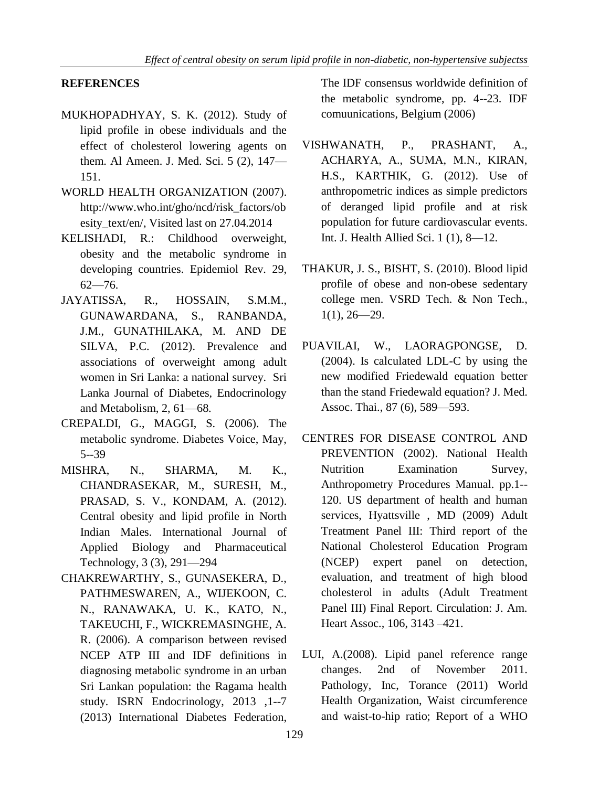# **REFERENCES**

- MUKHOPADHYAY, S. K. (2012). Study of lipid profile in obese individuals and the effect of cholesterol lowering agents on them. Al Ameen. J. Med. Sci. 5 (2), 147— 151.
- WORLD HEALTH ORGANIZATION (2007). http://www.who.int/gho/ncd/risk\_factors/ob esity\_text/en/, Visited last on 27.04.2014
- KELISHADI, R.: Childhood overweight, obesity and the metabolic syndrome in developing countries. Epidemiol Rev. 29, 62—76.
- JAYATISSA, R., HOSSAIN, S.M.M., GUNAWARDANA, S., RANBANDA, J.M., GUNATHILAKA, M. AND DE SILVA, P.C. (2012). Prevalence and associations of overweight among adult women in Sri Lanka: a national survey. Sri Lanka Journal of Diabetes, Endocrinology and Metabolism, 2, 61—68.
- CREPALDI, G., MAGGI, S. (2006). The metabolic syndrome. Diabetes Voice, May, 5--39
- MISHRA, N., SHARMA, M. K., CHANDRASEKAR, M., SURESH, M., PRASAD, S. V., KONDAM, A. (2012). Central obesity and lipid profile in North Indian Males. International Journal of Applied Biology and Pharmaceutical Technology, 3 (3), 291—294
- CHAKREWARTHY, S., GUNASEKERA, D., PATHMESWAREN, A., WIJEKOON, C. N., RANAWAKA, U. K., KATO, N., TAKEUCHI, F., WICKREMASINGHE, A. R. (2006). A comparison between revised NCEP ATP III and IDF definitions in diagnosing metabolic syndrome in an urban Sri Lankan population: the Ragama health study*.* ISRN Endocrinology, 2013 ,1--7 (2013) International Diabetes Federation,

The IDF consensus worldwide definition of the metabolic syndrome, pp. 4--23. IDF comuunications, Belgium (2006)

- VISHWANATH, P., PRASHANT, A., ACHARYA, A., SUMA, M.N., KIRAN, H.S., KARTHIK, G. (2012). Use of anthropometric indices as simple predictors of deranged lipid profile and at risk population for future cardiovascular events. Int. J. Health Allied Sci. 1 (1), 8—12.
- THAKUR, J. S., BISHT, S. (2010). Blood lipid profile of obese and non-obese sedentary college men. VSRD Tech. & Non Tech., 1(1), 26—29.
- PUAVILAI, W., LAORAGPONGSE, D. (2004). Is calculated LDL-C by using the new modified Friedewald equation better than the stand Friedewald equation? J. Med. Assoc. Thai., 87 (6), 589—593.
- CENTRES FOR DISEASE CONTROL AND PREVENTION (2002). National Health Nutrition Examination Survey, Anthropometry Procedures Manual. pp.1-- 120. US department of health and human services, Hyattsville , MD (2009) Adult Treatment Panel III: Third report of the National Cholesterol Education Program (NCEP) expert panel on detection, evaluation, and treatment of high blood cholesterol in adults (Adult Treatment Panel III) Final Report. Circulation: J. Am. Heart Assoc.*,* 106, 3143 –421.
- LUI, A.(2008). Lipid panel reference range changes. 2nd of November 2011. Pathology, Inc, Torance (2011) World Health Organization, Waist circumference and waist-to-hip ratio; Report of a WHO